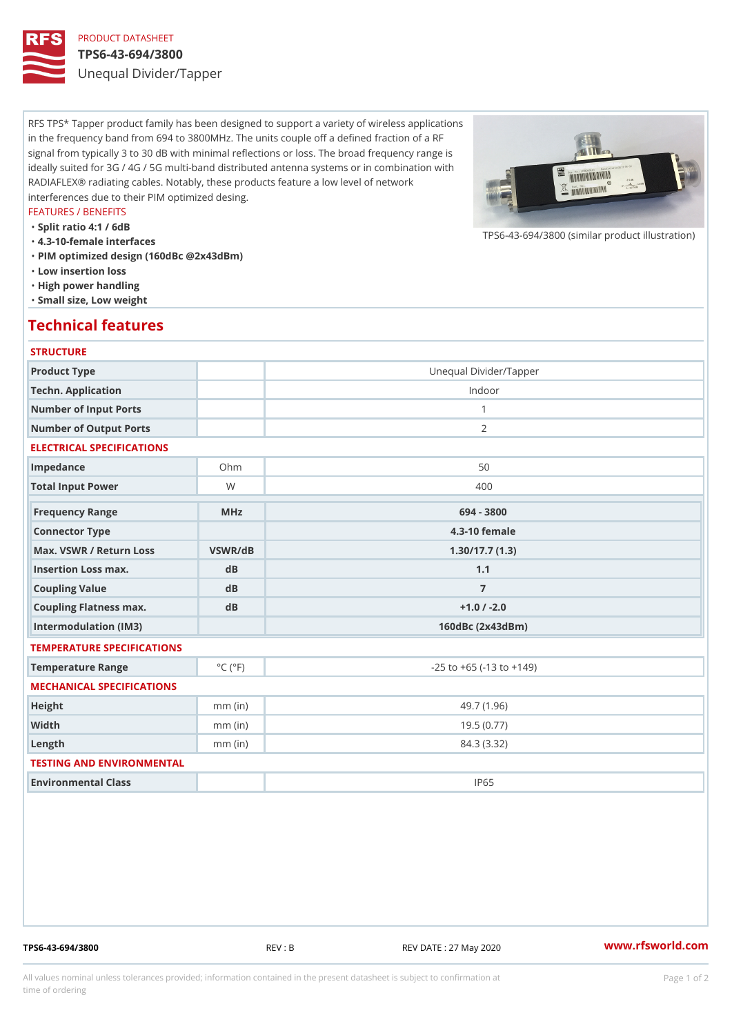## PRODUCT DATASHEET

#### TPS6-43-694/3800

Unequal Divider/Tapper

RFS TPS\* Tapper product family has been designed to support a variety of wireless applications in the frequency band from 694 to 3800MHz. The units couple off a defined fraction of a RF signal from typically 3 to 30 dB with minimal reflections or loss. The broad frequency range is ideally suited for 3G / 4G / 5G multi-band distributed antenna systems or in combination with RADIAFLEX® radiating cables. Notably, these products feature a low level of network interferences due to their PIM optimized desing.

#### FEATURES / BENEFITS

"Split ratio 4:1 / 6dB

- "4.3-10-female interfaces
- "PIM optimized design (160dBc @2x43dBm)
- "Low insertion loss
- "High power handling
- "Small size, Low weight

## Technical features

### **STRUCTURE**

| Product Type                   |                             | Unequal Divider/Tapper             |
|--------------------------------|-----------------------------|------------------------------------|
| Techn. Application             |                             | Indoor                             |
| Number of Input Ports          |                             | $\mathbf{1}$                       |
| Number of Output Ports         |                             | 2                                  |
| ELECTRICAL SPECIFICATIONS      |                             |                                    |
| Impedance                      | $Oh$ m                      | 50                                 |
| Total Input Power              | W                           | 400                                |
| Frequency Range                | MHz                         | 694 - 3800                         |
| Connector Type                 |                             | $4.3 - 10$ female                  |
| Max. VSWR / Return LossVSWR/dB |                             |                                    |
|                                |                             | 1.30/17.7(1.3)                     |
| Insertion Loss max.            | dB                          | 1.1                                |
| Coupling Value                 | dB                          | $\overline{7}$                     |
| Coupling Flatness max.         | dB                          | $+1.0$ / -2.0                      |
| Intermodulation (IM3)          |                             | $160dBc$ $(2x43dBm)$               |
| TEMPERATURE SPECIFICATIONS     |                             |                                    |
| Temperature Range              | $^{\circ}$ C ( $^{\circ}$ F | $-25$ to $+65$ ( $-13$ to $+149$ ) |
| MECHANICAL SPECIFICATIONS      |                             |                                    |
| Height                         | $mm$ (in)                   | 49.7(1.96)                         |
| Width                          | $mm$ (in)                   | 19.5(0.77)                         |
| $L$ ength                      | $mm$ (in)                   | 84.3 (3.32)                        |
| TESTING AND ENVIRONMENTAL      |                             |                                    |
| Environmental Class            |                             | IP65                               |

TPS6-43-694/3800 REV : B REV DATE : 27 May 2020 [www.](https://www.rfsworld.com)rfsworld.com

 $TPS6-43-694/3800$  (similar product

All values nominal unless tolerances provided; information contained in the present datasheet is subject to Pcapgeign manation time of ordering